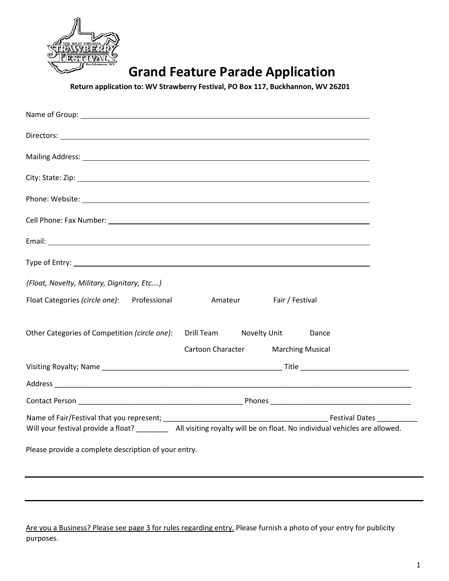

## **Grand Feature Parade Application**

 **Return application to: WV Strawberry Festival, PO Box 117, Buckhannon, WV 26201** 

| (Float, Novelty, Military, Dignitary, Etc)           |                                                                                                                             |                                    |       |  |
|------------------------------------------------------|-----------------------------------------------------------------------------------------------------------------------------|------------------------------------|-------|--|
| Float Categories (circle one): Professional          |                                                                                                                             | Amateur<br>Fair / Festival         |       |  |
| Other Categories of Competition (circle one):        | Drill Team Novelty Unit                                                                                                     | Cartoon Character Marching Musical | Dance |  |
|                                                      |                                                                                                                             |                                    |       |  |
|                                                      |                                                                                                                             |                                    |       |  |
|                                                      |                                                                                                                             |                                    |       |  |
|                                                      | Will your festival provide a float? ____________ All visiting royalty will be on float. No individual vehicles are allowed. |                                    |       |  |
| Please provide a complete description of your entry. |                                                                                                                             |                                    |       |  |

Are you a Business? Please see page 3 for rules regarding entry. Please furnish a photo of your entry for publicity purposes.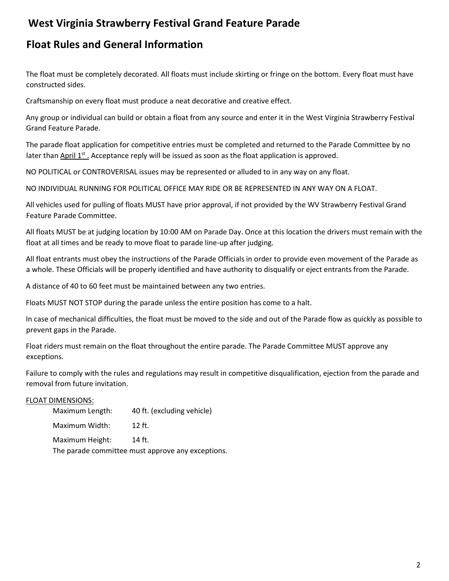## **West Virginia Strawberry Festival Grand Feature Parade**

## **Float Rules and General Information**

The float must be completely decorated. All floats must include skirting or fringe on the bottom. Every float must have constructed sides.

Craftsmanship on every float must produce a neat decorative and creative effect.

Any group or individual can build or obtain a float from any source and enter it in the West Virginia Strawberry Festival Grand Feature Parade.

The parade float application for competitive entries must be completed and returned to the Parade Committee by no later than April 1<sup>st</sup>. Acceptance reply will be issued as soon as the float application is approved.

NO POLITICAL or CONTROVERISAL issues may be represented or alluded to in any way on any float.

NO INDIVIDUAL RUNNING FOR POLITICAL OFFICE MAY RIDE OR BE REPRESENTED IN ANY WAY ON A FLOAT.

All vehicles used for pulling of floats MUST have prior approval, if not provided by the WV Strawberry Festival Grand Feature Parade Committee.

All floats MUST be at judging location by 10:00 AM on Parade Day. Once at this location the drivers must remain with the float at all times and be ready to move float to parade line-up after judging.

All float entrants must obey the instructions of the Parade Officials in order to provide even movement of the Parade as a whole. These Officials will be properly identified and have authority to disqualify or eject entrants from the Parade.

A distance of 40 to 60 feet must be maintained between any two entries.

Floats MUST NOT STOP during the parade unless the entire position has come to a halt.

In case of mechanical difficulties, the float must be moved to the side and out of the Parade flow as quickly as possible to prevent gaps in the Parade.

Float riders must remain on the float throughout the entire parade. The Parade Committee MUST approve any exceptions.

Failure to comply with the rules and regulations may result in competitive disqualification, ejection from the parade and removal from future invitation.

### FLOAT DIMENSIONS:

| Maximum Length:                                   | 40 ft. (excluding vehicle) |  |  |  |
|---------------------------------------------------|----------------------------|--|--|--|
| Maximum Width:                                    | $12$ ft.                   |  |  |  |
| Maximum Height:                                   | 14 ft.                     |  |  |  |
| The parade committee must approve any exceptions. |                            |  |  |  |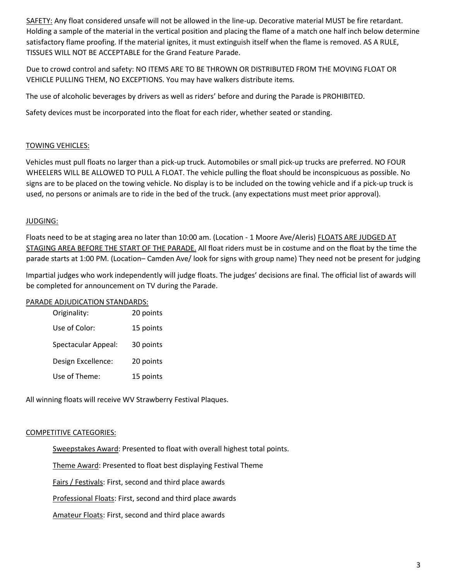SAFETY: Any float considered unsafe will not be allowed in the line-up. Decorative material MUST be fire retardant. Holding a sample of the material in the vertical position and placing the flame of a match one half inch below determine satisfactory flame proofing. If the material ignites, it must extinguish itself when the flame is removed. AS A RULE, TISSUES WILL NOT BE ACCEPTABLE for the Grand Feature Parade.

Due to crowd control and safety: NO ITEMS ARE TO BE THROWN OR DISTRIBUTED FROM THE MOVING FLOAT OR VEHICLE PULLING THEM, NO EXCEPTIONS. You may have walkers distribute items.

The use of alcoholic beverages by drivers as well as riders' before and during the Parade is PROHIBITED.

Safety devices must be incorporated into the float for each rider, whether seated or standing.

### TOWING VEHICLES:

Vehicles must pull floats no larger than a pick-up truck. Automobiles or small pick-up trucks are preferred. NO FOUR WHEELERS WILL BE ALLOWED TO PULL A FLOAT. The vehicle pulling the float should be inconspicuous as possible. No signs are to be placed on the towing vehicle. No display is to be included on the towing vehicle and if a pick-up truck is used, no persons or animals are to ride in the bed of the truck. (any expectations must meet prior approval).

### JUDGING:

Floats need to be at staging area no later than 10:00 am. (Location - 1 Moore Ave/Aleris) FLOATS ARE JUDGED AT STAGING AREA BEFORE THE START OF THE PARADE. All float riders must be in costume and on the float by the time the parade starts at 1:00 PM. (Location– Camden Ave/ look for signs with group name) They need not be present for judging

Impartial judges who work independently will judge floats. The judges' decisions are final. The official list of awards will be completed for announcement on TV during the Parade.

### PARADE ADJUDICATION STANDARDS:

| Originality:        | 20 points |
|---------------------|-----------|
| Use of Color:       | 15 points |
| Spectacular Appeal: | 30 points |
| Design Excellence:  | 20 points |
| Use of Theme:       | 15 points |

All winning floats will receive WV Strawberry Festival Plaques.

### COMPETITIVE CATEGORIES:

Sweepstakes Award: Presented to float with overall highest total points.

Theme Award: Presented to float best displaying Festival Theme

Fairs / Festivals: First, second and third place awards

Professional Floats: First, second and third place awards

Amateur Floats: First, second and third place awards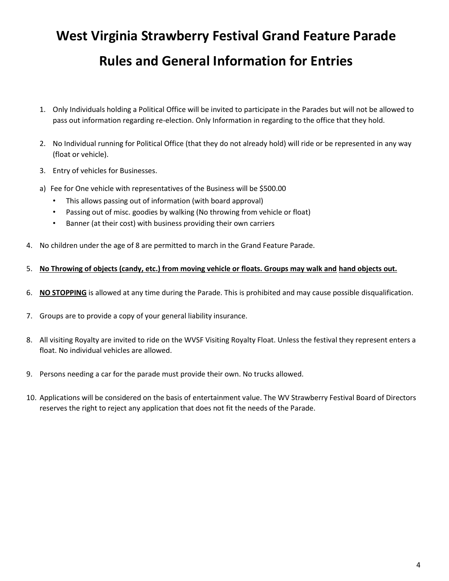# **West Virginia Strawberry Festival Grand Feature Parade Rules and General Information for Entries**

- 1. Only Individuals holding a Political Office will be invited to participate in the Parades but will not be allowed to pass out information regarding re-election. Only Information in regarding to the office that they hold.
- 2. No Individual running for Political Office (that they do not already hold) will ride or be represented in any way (float or vehicle).
- 3. Entry of vehicles for Businesses.
- a) Fee for One vehicle with representatives of the Business will be \$500.00
	- This allows passing out of information (with board approval)
	- Passing out of misc. goodies by walking (No throwing from vehicle or float)
	- Banner (at their cost) with business providing their own carriers
- 4. No children under the age of 8 are permitted to march in the Grand Feature Parade.

### 5. **No Throwing of objects (candy, etc.) from moving vehicle or floats. Groups may walk and hand objects out.**

- 6. **NO STOPPING** is allowed at any time during the Parade. This is prohibited and may cause possible disqualification.
- 7. Groups are to provide a copy of your general liability insurance.
- 8. All visiting Royalty are invited to ride on the WVSF Visiting Royalty Float. Unless the festival they represent enters a float. No individual vehicles are allowed.
- 9. Persons needing a car for the parade must provide their own. No trucks allowed.
- 10. Applications will be considered on the basis of entertainment value. The WV Strawberry Festival Board of Directors reserves the right to reject any application that does not fit the needs of the Parade.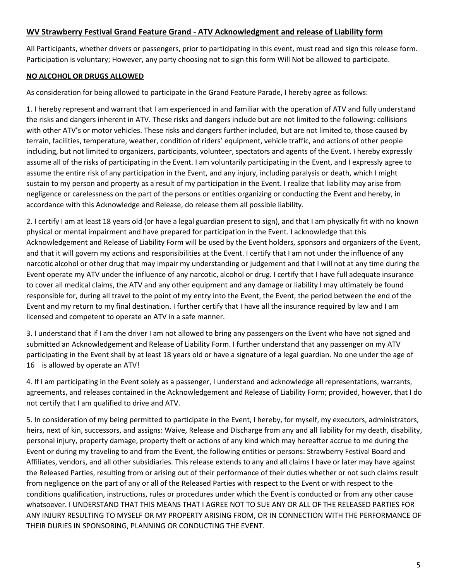### **WV Strawberry Festival Grand Feature Grand - ATV Acknowledgment and release of Liability form**

All Participants, whether drivers or passengers, prior to participating in this event, must read and sign this release form. Participation is voluntary; However, any party choosing not to sign this form Will Not be allowed to participate.

### **NO ALCOHOL OR DRUGS ALLOWED**

As consideration for being allowed to participate in the Grand Feature Parade, I hereby agree as follows:

1. I hereby represent and warrant that I am experienced in and familiar with the operation of ATV and fully understand the risks and dangers inherent in ATV. These risks and dangers include but are not limited to the following: collisions with other ATV's or motor vehicles. These risks and dangers further included, but are not limited to, those caused by terrain, facilities, temperature, weather, condition of riders' equipment, vehicle traffic, and actions of other people including, but not limited to organizers, participants, volunteer, spectators and agents of the Event. I hereby expressly assume all of the risks of participating in the Event. I am voluntarily participating in the Event, and I expressly agree to assume the entire risk of any participation in the Event, and any injury, including paralysis or death, which I might sustain to my person and property as a result of my participation in the Event. I realize that liability may arise from negligence or carelessness on the part of the persons or entities organizing or conducting the Event and hereby, in accordance with this Acknowledge and Release, do release them all possible liability.

2. I certify I am at least 18 years old (or have a legal guardian present to sign), and that I am physically fit with no known physical or mental impairment and have prepared for participation in the Event. I acknowledge that this Acknowledgement and Release of Liability Form will be used by the Event holders, sponsors and organizers of the Event, and that it will govern my actions and responsibilities at the Event. I certify that I am not under the influence of any narcotic alcohol or other drug that may impair my understanding or judgement and that I will not at any time during the Event operate my ATV under the influence of any narcotic, alcohol or drug. I certify that I have full adequate insurance to cover all medical claims, the ATV and any other equipment and any damage or liability I may ultimately be found responsible for, during all travel to the point of my entry into the Event, the Event, the period between the end of the Event and my return to my final destination. I further certify that I have all the insurance required by law and I am licensed and competent to operate an ATV in a safe manner.

3. I understand that if I am the driver I am not allowed to bring any passengers on the Event who have not signed and submitted an Acknowledgement and Release of Liability Form. I further understand that any passenger on my ATV participating in the Event shall by at least 18 years old or have a signature of a legal guardian. No one under the age of 16 is allowed by operate an ATV!

4. If I am participating in the Event solely as a passenger, I understand and acknowledge all representations, warrants, agreements, and releases contained in the Acknowledgement and Release of Liability Form; provided, however, that I do not certify that I am qualified to drive and ATV.

5. In consideration of my being permitted to participate in the Event, I hereby, for myself, my executors, administrators, heirs, next of kin, successors, and assigns: Waive, Release and Discharge from any and all liability for my death, disability, personal injury, property damage, property theft or actions of any kind which may hereafter accrue to me during the Event or during my traveling to and from the Event, the following entities or persons: Strawberry Festival Board and Affiliates, vendors, and all other subsidiaries. This release extends to any and all claims I have or later may have against the Released Parties, resulting from or arising out of their performance of their duties whether or not such claims result from negligence on the part of any or all of the Released Parties with respect to the Event or with respect to the conditions qualification, instructions, rules or procedures under which the Event is conducted or from any other cause whatsoever. I UNDERSTAND THAT THIS MEANS THAT I AGREE NOT TO SUE ANY OR ALL OF THE RELEASED PARTIES FOR ANY INJURY RESULTING TO MYSELF OR MY PROPERTY ARISING FROM, OR IN CONNECTION WITH THE PERFORMANCE OF THEIR DURIES IN SPONSORING, PLANNING OR CONDUCTING THE EVENT.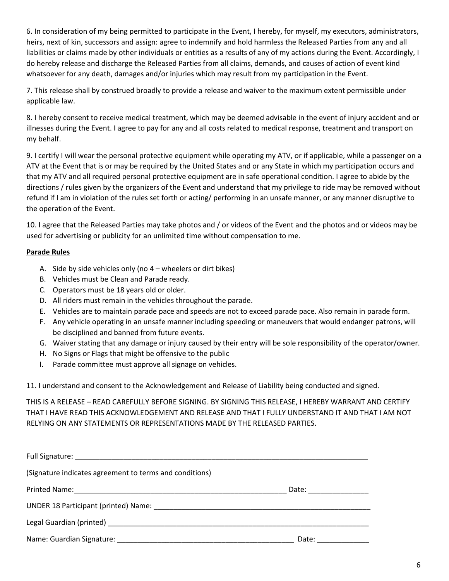6. In consideration of my being permitted to participate in the Event, I hereby, for myself, my executors, administrators, heirs, next of kin, successors and assign: agree to indemnify and hold harmless the Released Parties from any and all liabilities or claims made by other individuals or entities as a results of any of my actions during the Event. Accordingly, I do hereby release and discharge the Released Parties from all claims, demands, and causes of action of event kind whatsoever for any death, damages and/or injuries which may result from my participation in the Event.

7. This release shall by construed broadly to provide a release and waiver to the maximum extent permissible under applicable law.

8. I hereby consent to receive medical treatment, which may be deemed advisable in the event of injury accident and or illnesses during the Event. I agree to pay for any and all costs related to medical response, treatment and transport on my behalf.

9. I certify I will wear the personal protective equipment while operating my ATV, or if applicable, while a passenger on a ATV at the Event that is or may be required by the United States and or any State in which my participation occurs and that my ATV and all required personal protective equipment are in safe operational condition. I agree to abide by the directions / rules given by the organizers of the Event and understand that my privilege to ride may be removed without refund if I am in violation of the rules set forth or acting/ performing in an unsafe manner, or any manner disruptive to the operation of the Event.

10. I agree that the Released Parties may take photos and / or videos of the Event and the photos and or videos may be used for advertising or publicity for an unlimited time without compensation to me.

### **Parade Rules**

- A. Side by side vehicles only (no 4 wheelers or dirt bikes)
- B. Vehicles must be Clean and Parade ready.
- C. Operators must be 18 years old or older.
- D. All riders must remain in the vehicles throughout the parade.
- E. Vehicles are to maintain parade pace and speeds are not to exceed parade pace. Also remain in parade form.
- F. Any vehicle operating in an unsafe manner including speeding or maneuvers that would endanger patrons, will be disciplined and banned from future events.
- G. Waiver stating that any damage or injury caused by their entry will be sole responsibility of the operator/owner.
- H. No Signs or Flags that might be offensive to the public
- I. Parade committee must approve all signage on vehicles.

11. I understand and consent to the Acknowledgement and Release of Liability being conducted and signed.

THIS IS A RELEASE – READ CAREFULLY BEFORE SIGNING. BY SIGNING THIS RELEASE, I HEREBY WARRANT AND CERTIFY THAT I HAVE READ THIS ACKNOWLEDGEMENT AND RELEASE AND THAT I FULLY UNDERSTAND IT AND THAT I AM NOT RELYING ON ANY STATEMENTS OR REPRESENTATIONS MADE BY THE RELEASED PARTIES.

| (Signature indicates agreement to terms and conditions)   |                        |
|-----------------------------------------------------------|------------------------|
|                                                           | Date: <u>_________</u> |
|                                                           |                        |
|                                                           |                        |
| Name: Guardian Signature: Name: Name: Cuardian Signature: | Date:                  |